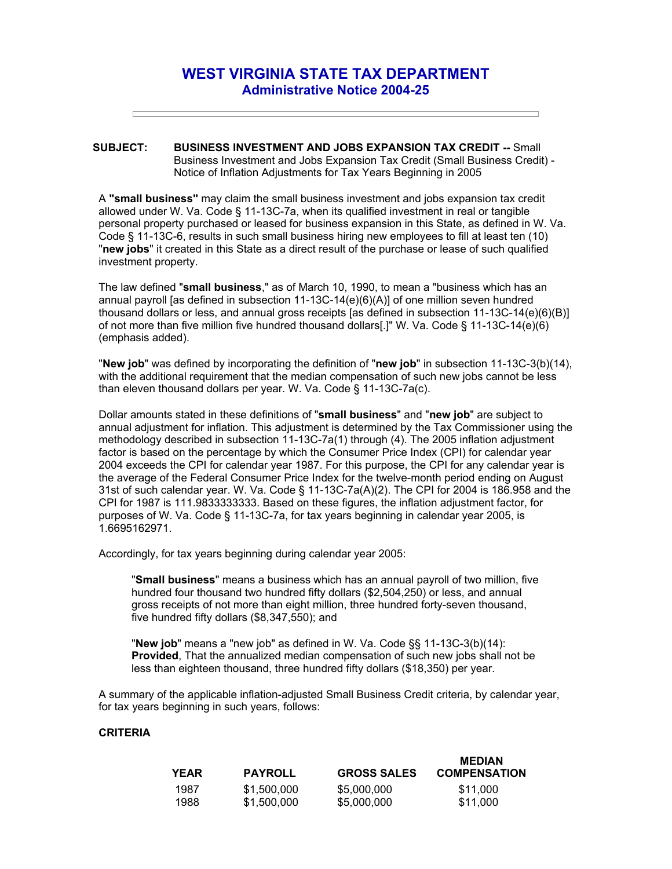## **WEST VIRGINIA STATE TAX DEPARTMENT Administrative Notice 2004-25**

## **SUBJECT: BUSINESS INVESTMENT AND JOBS EXPANSION TAX CREDIT --** Small Business Investment and Jobs Expansion Tax Credit (Small Business Credit) - Notice of Inflation Adjustments for Tax Years Beginning in 2005

A **"small business"** may claim the small business investment and jobs expansion tax credit allowed under W. Va. Code § 11-13C-7a, when its qualified investment in real or tangible personal property purchased or leased for business expansion in this State, as defined in W. Va. Code § 11-13C-6, results in such small business hiring new employees to fill at least ten (10) "**new jobs**" it created in this State as a direct result of the purchase or lease of such qualified investment property.

The law defined "**small business**," as of March 10, 1990, to mean a "business which has an annual payroll [as defined in subsection 11-13C-14(e)(6)(A)] of one million seven hundred thousand dollars or less, and annual gross receipts [as defined in subsection 11-13C-14(e)(6)(B)] of not more than five million five hundred thousand dollars[.]" W. Va. Code § 11-13C-14(e)(6) (emphasis added).

"**New job**" was defined by incorporating the definition of "**new job**" in subsection 11-13C-3(b)(14), with the additional requirement that the median compensation of such new jobs cannot be less than eleven thousand dollars per year. W. Va. Code § 11-13C-7a(c).

Dollar amounts stated in these definitions of "**small business**" and "**new job**" are subject to annual adjustment for inflation. This adjustment is determined by the Tax Commissioner using the methodology described in subsection 11-13C-7a(1) through (4). The 2005 inflation adjustment factor is based on the percentage by which the Consumer Price Index (CPI) for calendar year 2004 exceeds the CPI for calendar year 1987. For this purpose, the CPI for any calendar year is the average of the Federal Consumer Price Index for the twelve-month period ending on August 31st of such calendar year. W. Va. Code § 11-13C-7a(A)(2). The CPI for 2004 is 186.958 and the CPI for 1987 is 111.9833333333. Based on these figures, the inflation adjustment factor, for purposes of W. Va. Code § 11-13C-7a, for tax years beginning in calendar year 2005, is 1.6695162971.

Accordingly, for tax years beginning during calendar year 2005:

"**Small business**" means a business which has an annual payroll of two million, five hundred four thousand two hundred fifty dollars (\$2,504,250) or less, and annual gross receipts of not more than eight million, three hundred forty-seven thousand, five hundred fifty dollars (\$8,347,550); and

"**New job**" means a "new job" as defined in W. Va. Code §§ 11-13C-3(b)(14): **Provided**, That the annualized median compensation of such new jobs shall not be less than eighteen thousand, three hundred fifty dollars (\$18,350) per year.

A summary of the applicable inflation-adjusted Small Business Credit criteria, by calendar year, for tax years beginning in such years, follows:

## **CRITERIA**

| YEAR | <b>PAYROLL</b> | <b>GROSS SALES</b> | <b>MEDIAN</b><br><b>COMPENSATION</b> |
|------|----------------|--------------------|--------------------------------------|
| 1987 | \$1,500,000    | \$5,000,000        | \$11.000                             |
| 1988 | \$1,500,000    | \$5,000,000        | \$11,000                             |